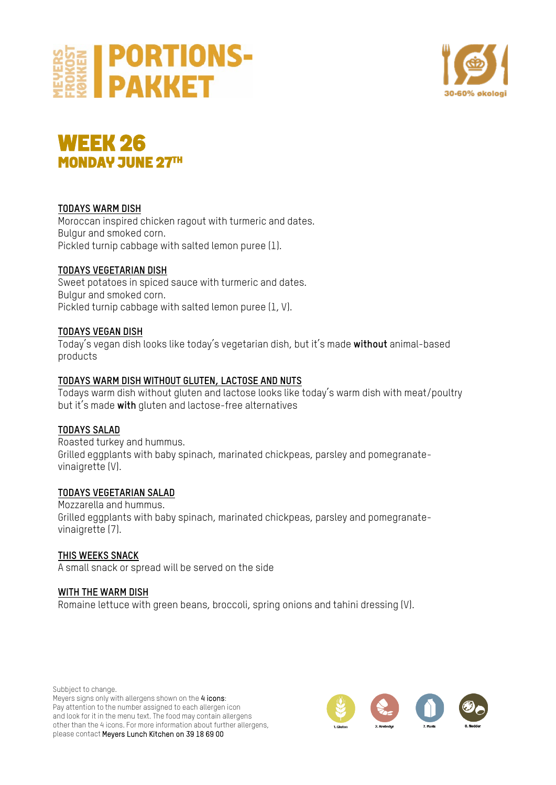



## **WEEK 26<br>MONDAY JUNE 27TH**

## **TODAYS WARM DISH**

Moroccan inspired chicken ragout with turmeric and dates. Bulgur and smoked corn. Pickled turnip cabbage with salted lemon puree (1).

## **TODAYS VEGETARIAN DISH**

Sweet potatoes in spiced sauce with turmeric and dates. Bulgur and smoked corn. Pickled turnip cabbage with salted lemon puree (1, V).

## **TODAYS VEGAN DISH**

Today's vegan dish looks like today's vegetarian dish, but it's made **without** animal-based products

#### **TODAYS WARM DISH WITHOUT GLUTEN, LACTOSE AND NUTS**

Todays warm dish without gluten and lactose looks like today's warm dish with meat/poultry but it's made **with** gluten and lactose-free alternatives

## **TODAYS SALAD**

Roasted turkey and hummus. Grilled eggplants with baby spinach, marinated chickpeas, parsley and pomegranatevinaigrette (V).

## **TODAYS VEGETARIAN SALAD**

Mozzarella and hummus. Grilled eggplants with baby spinach, marinated chickpeas, parsley and pomegranatevinaigrette (7).

## **THIS WEEKS SNACK**

A small snack or spread will be served on the side

## **WITH THE WARM DISH**

Romaine lettuce with green beans, broccoli, spring onions and tahini dressing (V).

Subbject to change. Meyers signs only with allergens shown on the 4 icons: Pay attention to the number assigned to each allergen icon and look for it in the menu text. The food may contain allergens other than the 4 icons. For more information about further allergens, please contact Meyers Lunch Kitchen on 39 18 69 00

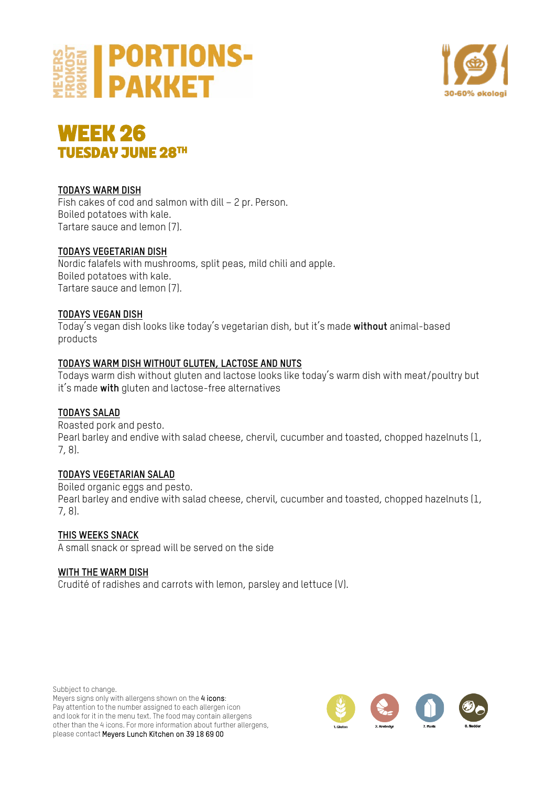





## **TODAYS WARM DISH**

Fish cakes of cod and salmon with dill – 2 pr. Person. Boiled potatoes with kale. Tartare sauce and lemon (7).

## **TODAYS VEGETARIAN DISH**

Nordic falafels with mushrooms, split peas, mild chili and apple. Boiled potatoes with kale. Tartare sauce and lemon (7).

#### **TODAYS VEGAN DISH**

Today's vegan dish looks like today's vegetarian dish, but it's made **without** animal-based products

#### **TODAYS WARM DISH WITHOUT GLUTEN, LACTOSE AND NUTS**

Todays warm dish without gluten and lactose looks like today's warm dish with meat/poultry but it's made **with** gluten and lactose-free alternatives

## **TODAYS SALAD**

Roasted pork and pesto. Pearl barley and endive with salad cheese, chervil, cucumber and toasted, chopped hazelnuts (1, 7, 8).

## **TODAYS VEGETARIAN SALAD**

Boiled organic eggs and pesto. Pearl barley and endive with salad cheese, chervil, cucumber and toasted, chopped hazelnuts (1, 7, 8).

**THIS WEEKS SNACK** A small snack or spread will be served on the side

#### **WITH THE WARM DISH**

Crudité of radishes and carrots with lemon, parsley and lettuce (V).

Subbject to change. Meyers signs only with allergens shown on the 4 icons: Pay attention to the number assigned to each allergen icon and look for it in the menu text. The food may contain allergens other than the 4 icons. For more information about further allergens, please contact Meyers Lunch Kitchen on 39 18 69 00

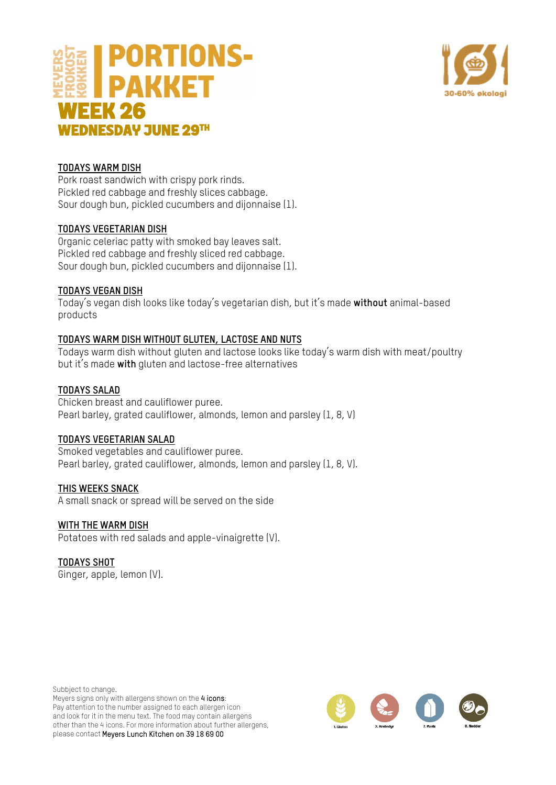



## **TODAYS WARM DISH**

Pork roast sandwich with crispy pork rinds. Pickled red cabbage and freshly slices cabbage. Sour dough bun, pickled cucumbers and dijonnaise (1).

#### **TODAYS VEGETARIAN DISH**

Organic celeriac patty with smoked bay leaves salt. Pickled red cabbage and freshly sliced red cabbage. Sour dough bun, pickled cucumbers and dijonnaise (1).

#### **TODAYS VEGAN DISH**

Today's vegan dish looks like today's vegetarian dish, but it's made **without** animal-based products

## **TODAYS WARM DISH WITHOUT GLUTEN, LACTOSE AND NUTS**

Todays warm dish without gluten and lactose looks like today's warm dish with meat/poultry but it's made **with** gluten and lactose-free alternatives

## **TODAYS SALAD**

Chicken breast and cauliflower puree. Pearl barley, grated cauliflower, almonds, lemon and parsley (1, 8, V)

#### **TODAYS VEGETARIAN SALAD**

Smoked vegetables and cauliflower puree. Pearl barley, grated cauliflower, almonds, lemon and parsley (1, 8, V).

#### **THIS WEEKS SNACK**

A small snack or spread will be served on the side

#### **WITH THE WARM DISH**

Potatoes with red salads and apple-vinaigrette (V).

## **TODAYS SHOT**

Ginger, apple, lemon (V).

Subbject to change. Meyers signs only with allergens shown on the 4 icons: Pay attention to the number assigned to each allergen icon and look for it in the menu text. The food may contain allergens other than the 4 icons. For more information about further allergens, please contact Meyers Lunch Kitchen on 39 18 69 00

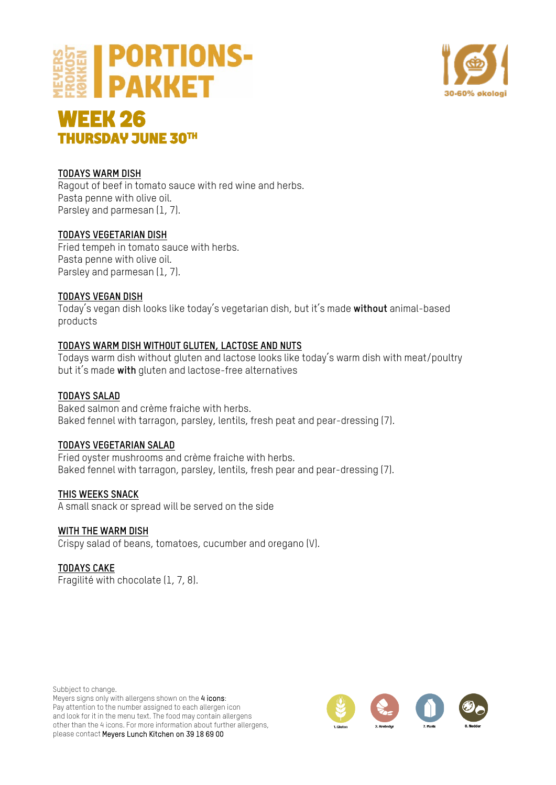



# **WEEK 26 THURSDAY JUNE 30TH**

## **TODAYS WARM DISH**

Ragout of beef in tomato sauce with red wine and herbs. Pasta penne with olive oil. Parsley and parmesan (1, 7).

## **TODAYS VEGETARIAN DISH**

Fried tempeh in tomato sauce with herbs. Pasta penne with olive oil. Parsley and parmesan (1, 7).

## **TODAYS VEGAN DISH**

Today's vegan dish looks like today's vegetarian dish, but it's made **without** animal-based products

## **TODAYS WARM DISH WITHOUT GLUTEN, LACTOSE AND NUTS**

Todays warm dish without gluten and lactose looks like today's warm dish with meat/poultry but it's made **with** gluten and lactose-free alternatives

## **TODAYS SALAD**

Baked salmon and crème fraiche with herbs. Baked fennel with tarragon, parsley, lentils, fresh peat and pear-dressing (7).

## **TODAYS VEGETARIAN SALAD**

Fried oyster mushrooms and crème fraiche with herbs. Baked fennel with tarragon, parsley, lentils, fresh pear and pear-dressing (7).

## **THIS WEEKS SNACK**

A small snack or spread will be served on the side

## **WITH THE WARM DISH**

Crispy salad of beans, tomatoes, cucumber and oregano (V).

## **TODAYS CAKE**

Fragilité with chocolate (1, 7, 8).

Subbject to change. Meyers signs only with allergens shown on the 4 icons: Pay attention to the number assigned to each allergen icon and look for it in the menu text. The food may contain allergens other than the 4 icons. For more information about further allergens, please contact Meyers Lunch Kitchen on 39 18 69 00